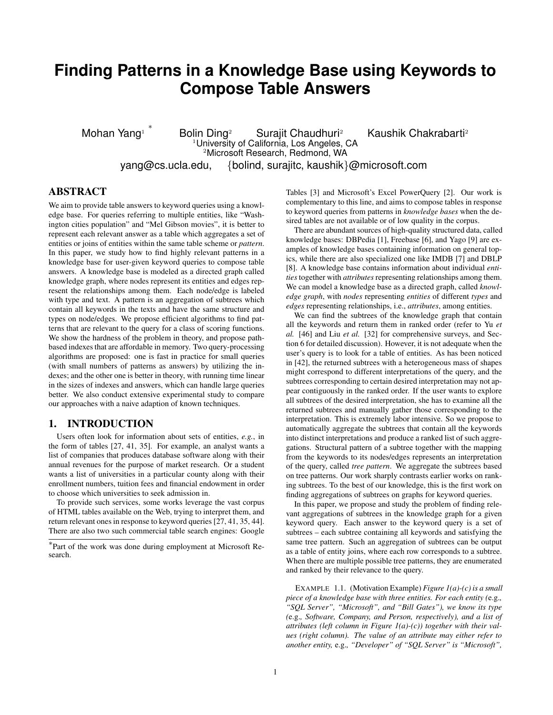# **Finding Patterns in a Knowledge Base using Keywords to Compose Table Answers**

Mohan Yang<sup>1</sup> *∗*

Bolin Ding<sup>2</sup> Surajit Chaudhuri<sup>2</sup> Kaushik Chakrabarti<sup>2</sup> <sup>1</sup>University of California, Los Angeles, CA <sup>2</sup>Microsoft Research, Redmond, WA yang@cs.ucla.edu, *{*bolind, surajitc, kaushik*}*@microsoft.com

## ABSTRACT

We aim to provide table answers to keyword queries using a knowledge base. For queries referring to multiple entities, like "Washington cities population" and "Mel Gibson movies", it is better to represent each relevant answer as a table which aggregates a set of entities or joins of entities within the same table scheme or *pattern*. In this paper, we study how to find highly relevant patterns in a knowledge base for user-given keyword queries to compose table answers. A knowledge base is modeled as a directed graph called knowledge graph, where nodes represent its entities and edges represent the relationships among them. Each node/edge is labeled with type and text. A pattern is an aggregation of subtrees which contain all keywords in the texts and have the same structure and types on node/edges. We propose efficient algorithms to find patterns that are relevant to the query for a class of scoring functions. We show the hardness of the problem in theory, and propose pathbased indexes that are affordable in memory. Two query-processing algorithms are proposed: one is fast in practice for small queries (with small numbers of patterns as answers) by utilizing the indexes; and the other one is better in theory, with running time linear in the sizes of indexes and answers, which can handle large queries better. We also conduct extensive experimental study to compare our approaches with a naive adaption of known techniques.

## 1. INTRODUCTION

Users often look for information about sets of entities, *e.g.*, in the form of tables [27, 41, 35]. For example, an analyst wants a list of companies that produces database software along with their annual revenues for the purpose of market research. Or a student wants a list of universities in a particular county along with their enrollment numbers, tuition fees and financial endowment in order to choose which universities to seek admission in.

To provide such services, some works leverage the vast corpus of HTML tables available on the Web, trying to interpret them, and return relevant ones in response to keyword queries [27, 41, 35, 44]. There are also two such commercial table search engines: Google Tables [3] and Microsoft's Excel PowerQuery [2]. Our work is complementary to this line, and aims to compose tables in response to keyword queries from patterns in *knowledge bases* when the desired tables are not available or of low quality in the corpus.

There are abundant sources of high-quality structured data, called knowledge bases: DBPedia [1], Freebase [6], and Yago [9] are examples of knowledge bases containing information on general topics, while there are also specialized one like IMDB [7] and DBLP [8]. A knowledge base contains information about individual *entities* together with *attributes* representing relationships among them. We can model a knowledge base as a directed graph, called *knowledge graph*, with *nodes* representing *entities* of different *types* and *edges* representing relationships, i.e., *attributes*, among entities.

We can find the subtrees of the knowledge graph that contain all the keywords and return them in ranked order (refer to Yu *et al.* [46] and Liu *et al.* [32] for comprehensive surveys, and Section 6 for detailed discussion). However, it is not adequate when the user's query is to look for a table of entities. As has been noticed in [42], the returned subtrees with a heterogeneous mass of shapes might correspond to different interpretations of the query, and the subtrees corresponding to certain desired interpretation may not appear contiguously in the ranked order. If the user wants to explore all subtrees of the desired interpretation, she has to examine all the returned subtrees and manually gather those corresponding to the interpretation. This is extremely labor intensive. So we propose to automatically aggregate the subtrees that contain all the keywords into distinct interpretations and produce a ranked list of such aggregations. Structural pattern of a subtree together with the mapping from the keywords to its nodes/edges represents an interpretation of the query, called *tree pattern*. We aggregate the subtrees based on tree patterns. Our work sharply contrasts earlier works on ranking subtrees. To the best of our knowledge, this is the first work on finding aggregations of subtrees on graphs for keyword queries.

In this paper, we propose and study the problem of finding relevant aggregations of subtrees in the knowledge graph for a given keyword query. Each answer to the keyword query is a set of subtrees – each subtree containing all keywords and satisfying the same tree pattern. Such an aggregation of subtrees can be output as a table of entity joins, where each row corresponds to a subtree. When there are multiple possible tree patterns, they are enumerated and ranked by their relevance to the query.

EXAMPLE 1.1. (Motivation Example) *Figure 1(a)-(c) is a small piece of a knowledge base with three entities. For each entity (*e.g.*, "SQL Server", "Microsoft", and "Bill Gates"), we know its type (*e.g.*, Software, Company, and Person, respectively), and a list of attributes (left column in Figure 1(a)-(c)) together with their values (right column). The value of an attribute may either refer to another entity,* e.g.*, "Developer" of "SQL Server" is "Microsoft",*

*<sup>∗</sup>* Part of the work was done during employment at Microsoft Research.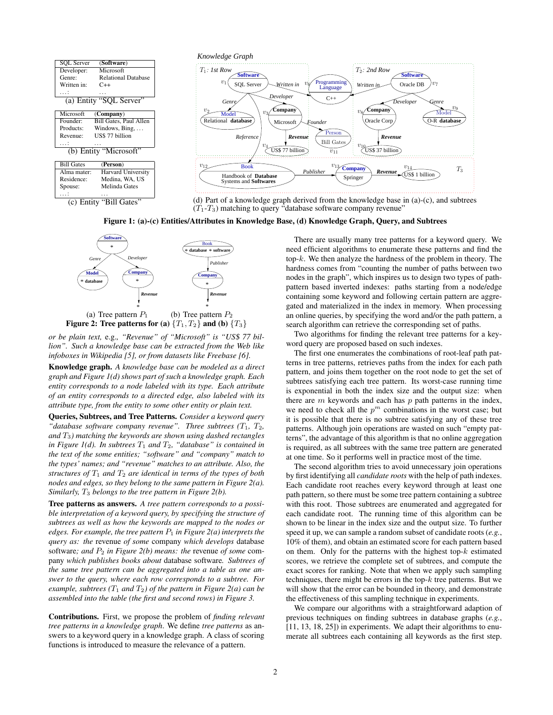

Figure 1: (a)-(c) Entities/Attributes in Knowledge Base, (d) Knowledge Graph, Query, and Subtrees



(a) Tree pattern *P*<sup>1</sup> (b) Tree pattern *P*<sup>2</sup> **Figure 2: Tree patterns for (a)**  ${T_1, T_2}$  and (b)  ${T_3}$ 

*or be plain text,* e.g.*, "Revenue" of "Microsoft" is "US*\$ *77 billion". Such a knowledge base can be extracted from the Web like infoboxes in Wikipedia [5], or from datasets like Freebase [6].*

Knowledge graph. *A knowledge base can be modeled as a direct graph and Figure 1(d) shows part of such a knowledge graph. Each entity corresponds to a node labeled with its type. Each attribute of an entity corresponds to a directed edge, also labeled with its attribute type, from the entity to some other entity or plain text.*

Queries, Subtrees, and Tree Patterns. *Consider a keyword query* "*database software company revenue*". Three subtrees  $(T_1, T_2, T_3)$ *and T*3*) matching the keywords are shown using dashed rectangles in Figure 1(d). In subtrees*  $T_1$  *and*  $T_2$ *, "database" is contained in the text of the some entities; "software" and "company" match to the types' names; and "revenue" matches to an attribute. Also, the structures of T*<sup>1</sup> *and T*<sup>2</sup> *are identical in terms of the types of both nodes and edges, so they belong to the same pattern in Figure 2(a). Similarly, T*<sup>3</sup> *belongs to the tree pattern in Figure 2(b).*

Tree patterns as answers. *A tree pattern corresponds to a possible interpretation of a keyword query, by specifying the structure of subtrees as well as how the keywords are mapped to the nodes or edges. For example, the tree pattern P*<sup>1</sup> *in Figure 2(a) interprets the query as: the* revenue *of some* company *which develops* database software; and  $P_2$  in Figure 2(b) means: the revenue of some company *which publishes books about* database software*. Subtrees of the same tree pattern can be aggregated into a table as one answer to the query, where each row corresponds to a subtree. For example, subtrees*  $(T_1$  *and*  $T_2$ *) of the pattern in Figure 2(a) can be assembled into the table (the first and second rows) in Figure 3.*

Contributions. First, we propose the problem of *finding relevant tree patterns in a knowledge graph*. We define *tree patterns* as answers to a keyword query in a knowledge graph. A class of scoring functions is introduced to measure the relevance of a pattern.

There are usually many tree patterns for a keyword query. We need efficient algorithms to enumerate these patterns and find the top-*k*. We then analyze the hardness of the problem in theory. The hardness comes from "counting the number of paths between two nodes in the graph", which inspires us to design two types of pathpattern based inverted indexes: paths starting from a node/edge containing some keyword and following certain pattern are aggregated and materialized in the index in memory. When processing an online queries, by specifying the word and/or the path pattern, a search algorithm can retrieve the corresponding set of paths.

Two algorithms for finding the relevant tree patterns for a keyword query are proposed based on such indexes.

The first one enumerates the combinations of root-leaf path patterns in tree patterns, retrieves paths from the index for each path pattern, and joins them together on the root node to get the set of subtrees satisfying each tree pattern. Its worst-case running time is exponential in both the index size and the output size: when there are *m* keywords and each has *p* path patterns in the index, we need to check all the  $p^m$  combinations in the worst case; but it is possible that there is no subtree satisfying any of these tree patterns. Although join operations are wasted on such "empty patterns", the advantage of this algorithm is that no online aggregation is required, as all subtrees with the same tree pattern are generated at one time. So it performs well in practice most of the time.

The second algorithm tries to avoid unnecessary join operations by first identifying all *candidate roots* with the help of path indexes. Each candidate root reaches every keyword through at least one path pattern, so there must be some tree pattern containing a subtree with this root. Those subtrees are enumerated and aggregated for each candidate root. The running time of this algorithm can be shown to be linear in the index size and the output size. To further speed it up, we can sample a random subset of candidate roots (*e.g.*, 10% of them), and obtain an estimated score for each pattern based on them. Only for the patterns with the highest top-*k* estimated scores, we retrieve the complete set of subtrees, and compute the exact scores for ranking. Note that when we apply such sampling techniques, there might be errors in the top-*k* tree patterns. But we will show that the error can be bounded in theory, and demonstrate the effectiveness of this sampling technique in experiments.

We compare our algorithms with a straightforward adaption of previous techniques on finding subtrees in database graphs (*e.g.*, [11, 13, 18, 25]) in experiments. We adapt their algorithms to enumerate all subtrees each containing all keywords as the first step.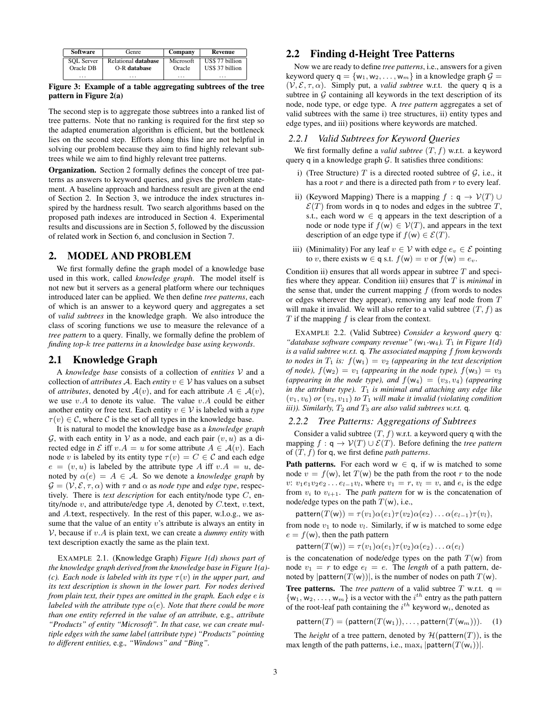| <b>Software</b>                | Genre                               | Company                 | Revenue                            |
|--------------------------------|-------------------------------------|-------------------------|------------------------------------|
| <b>SOL</b> Server<br>Oracle DB | Relational database<br>O-R database | Microsoft<br>Oracle     | US\$ 77 billion<br>US\$ 37 billion |
| .                              | $\cdot$ $\cdot$ $\cdot$             | $\cdot$ $\cdot$ $\cdot$ | .                                  |

Figure 3: Example of a table aggregating subtrees of the tree pattern in Figure 2(a)

The second step is to aggregate those subtrees into a ranked list of tree patterns. Note that no ranking is required for the first step so the adapted enumeration algorithm is efficient, but the bottleneck lies on the second step. Efforts along this line are not helpful in solving our problem because they aim to find highly relevant subtrees while we aim to find highly relevant tree patterns.

Organization. Section 2 formally defines the concept of tree patterns as answers to keyword queries, and gives the problem statement. A baseline approach and hardness result are given at the end of Section 2. In Section 3, we introduce the index structures inspired by the hardness result. Two search algorithms based on the proposed path indexes are introduced in Section 4. Experimental results and discussions are in Section 5, followed by the discussion of related work in Section 6, and conclusion in Section 7.

#### 2. MODEL AND PROBLEM

We first formally define the graph model of a knowledge base used in this work, called *knowledge graph*. The model itself is not new but it servers as a general platform where our techniques introduced later can be applied. We then define *tree patterns*, each of which is an answer to a keyword query and aggregates a set of *valid subtrees* in the knowledge graph. We also introduce the class of scoring functions we use to measure the relevance of a *tree pattern* to a query. Finally, we formally define the problem of *finding top-k tree patterns in a knowledge base using keywords*.

#### 2.1 Knowledge Graph

A *knowledge base* consists of a collection of *entities V* and a collection of *attributes* A. Each *entity*  $v \in V$  has values on a subset of *attributes*, denoted by  $A(v)$ , and for each attribute  $A \in A(v)$ , we use *v.A* to denote its value. The value *v.A* could be either another entity or free text. Each entity  $v \in V$  is labeled with a *type*  $\tau(v) \in \mathcal{C}$ , where  $\mathcal{C}$  is the set of all types in the knowledge base.

It is natural to model the knowledge base as a *knowledge graph G*, with each entity in *V* as a node, and each pair  $(v, u)$  as a directed edge in  $\mathcal E$  iff  $v.A = u$  for some attribute  $A \in \mathcal A(v)$ . Each node *v* is labeled by its entity type  $\tau(v) = C \in \mathcal{C}$  and each edge  $e = (v, u)$  is labeled by the attribute type *A* iff  $v.A = u$ , denoted by  $\alpha(e) = A \in \mathcal{A}$ . So we denote a *knowledge graph* by  $G = (V, \mathcal{E}, \tau, \alpha)$  with  $\tau$  and  $\alpha$  as *node type* and *edge type*, respectively. There is *text description* for each entity/node type *C*, entity/node *v*, and attribute/edge type *A*, denoted by *C.*text, *v.*text, and *A.*text, respectively. In the rest of this paper, w.l.o.g., we assume that the value of an entity *v*'s attribute is always an entity in *V*, because if *v.A* is plain text, we can create a *dummy entity* with text description exactly the same as the plain text.

EXAMPLE 2.1. (Knowledge Graph) *Figure 1(d) shows part of the knowledge graph derived from the knowledge base in Figure 1(a)- (c). Each node is labeled with its type*  $\tau(v)$  *in the upper part, and its text description is shown in the lower part. For nodes derived from plain text, their types are omitted in the graph. Each edge e is labeled with the attribute type*  $\alpha(e)$ *. Note that there could be more than one entity referred in the value of an attribute,* e.g.*, attribute "Products" of entity "Microsoft". In that case, we can create multiple edges with the same label (attribute type) "Products" pointing to different entities,* e.g.*, "Windows" and "Bing".*

## 2.2 Finding d-Height Tree Patterns

Now we are ready to define *tree patterns*, i.e., answers for a given keyword query  $q = \{w_1, w_2, \ldots, w_m\}$  in a knowledge graph  $\mathcal{G} =$  $(V, \mathcal{E}, \tau, \alpha)$ . Simply put, a *valid subtree* w.r.t. the query q is a subtree in  $G$  containing all keywords in the text description of its node, node type, or edge type. A *tree pattern* aggregates a set of valid subtrees with the same i) tree structures, ii) entity types and edge types, and iii) positions where keywords are matched.

#### *2.2.1 Valid Subtrees for Keyword Queries*

We first formally define a *valid subtree* (*T, f*) w.r.t. a keyword query q in a knowledge graph *G*. It satisfies three conditions:

- i) (Tree Structure)  $T$  is a directed rooted subtree of  $G$ , i.e., it has a root *r* and there is a directed path from *r* to every leaf.
- ii) (Keyword Mapping) There is a mapping *f* : q *→ V*(*T*) *∪*  $\mathcal{E}(T)$  from words in q to nodes and edges in the subtree  $T$ , s.t., each word  $w \in q$  appears in the text description of a node or node type if  $f(w) \in V(T)$ , and appears in the text description of an edge type if  $f(w) \in \mathcal{E}(T)$ .
- iii) (Minimality) For any leaf  $v \in V$  with edge  $e_v \in \mathcal{E}$  pointing to *v*, there exists  $w \in \mathsf{q}$  s.t.  $f(w) = v$  or  $f(w) = e_v$ .

Condition ii) ensures that all words appear in subtree *T* and specifies where they appear. Condition iii) ensures that *T* is *minimal* in the sense that, under the current mapping *f* (from words to nodes or edges wherever they appear), removing any leaf node from *T* will make it invalid. We will also refer to a valid subtree  $(T, f)$  as *T* if the mapping *f* is clear from the context.

EXAMPLE 2.2. (Valid Subtree) *Consider a keyword query* q*:* "*database software company revenue*" ( $w_1$ -w<sub>4</sub>).  $T_1$  *in Figure 1(d) is a valid subtree w.r.t.* q*. The associated mapping f from keywords to nodes in*  $T_1$  *is:*  $f(w_1) = v_2$  *(appearing in the text description of node),*  $f(w_2) = v_1$  *(appearing in the node type),*  $f(w_3) = v_3$ *(appearing in the node type), and*  $f(w_4) = (v_3, v_4)$  *(appearing*) *in the attribute type). T*<sup>1</sup> *is minimal and attaching any edge like*  $(v_1, v_6)$  *or*  $(v_3, v_{11})$  *to*  $T_1$  *will make it invalid (violating condition*) *iii*)). Similarly,  $T_2$  *and*  $T_3$  *are also valid subtrees w.r.t.* q.

#### *2.2.2 Tree Patterns: Aggregations of Subtrees*

Consider a valid subtree  $(T, f)$  w.r.t. a keyword query q with the mapping  $f : \mathsf{q} \to \mathcal{V}(T) \cup \mathcal{E}(T)$ . Before defining the *tree pattern* of (*T, f*) for q, we first define *path patterns*.

**Path patterns.** For each word  $w \in q$ , if w is matched to some node  $v = f(w)$ , let  $T(w)$  be the path from the root r to the node *v*:  $v_1e_1v_2e_2...e_{l-1}v_l$ , where  $v_1 = r$ ,  $v_l = v$ , and  $e_i$  is the edge from  $v_i$  to  $v_{i+1}$ . The *path pattern* for w is the concatenation of node/edge types on the path  $T(w)$ , i.e.,

$$
pattern(T(w)) = \tau(v_1)\alpha(e_1)\tau(v_2)\alpha(e_2)\ldots\alpha(e_{l-1})\tau(v_l),
$$

from node  $v_1$  to node  $v_l$ . Similarly, if w is matched to some edge  $e = f(w)$ , then the path pattern

 $\mathsf{pattern}(T(\mathsf{w})) = \tau(v_1)\alpha(e_1)\tau(v_2)\alpha(e_2)\ldots\alpha(e_l)$ 

is the concatenation of node/edge types on the path  $T(w)$  from node  $v_1 = r$  to edge  $e_i = e$ . The *length* of a path pattern, denoted by  $|$ pattern $(T(w))|$ , is the number of nodes on path  $T(w)$ .

**Tree patterns.** The *tree pattern* of a valid subtree  $T$  w.r.t.  $q =$  $\{w_1, w_2, \ldots, w_m\}$  is a vector with the  $i^{th}$  entry as the path pattern of the root-leaf path containing the  $i^{th}$  keyword  $w_i$ , denoted as

$$
pattern(T) = (pattern(T(w_1)), \ldots, pattern(T(w_m))). \quad (1)
$$

The *height* of a tree pattern, denoted by  $H(\text{pattern}(T))$ , is the max length of the path patterns, i.e.,  $\max_i |pattern(T(w_i))|$ .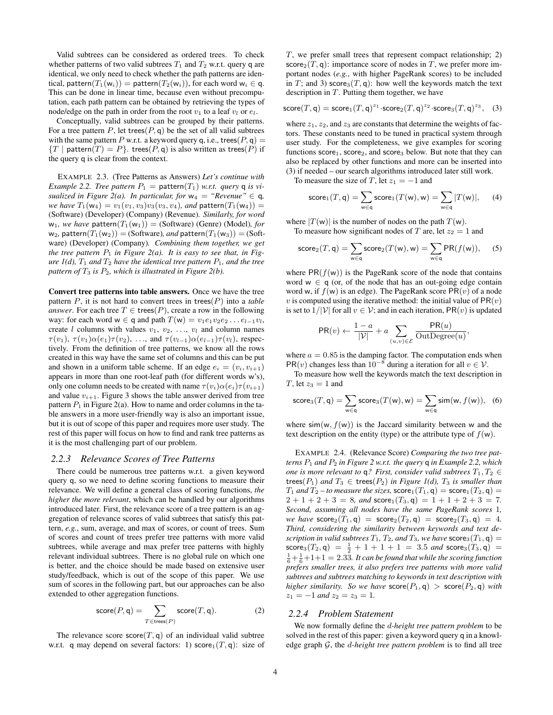Valid subtrees can be considered as ordered trees. To check whether patterns of two valid subtrees  $T_1$  and  $T_2$  w.r.t. query q are identical, we only need to check whether the path patterns are identical, pattern( $T_1(w_i)$ ) = pattern( $T_2(w_i)$ ), for each word  $w_i \in \mathfrak{q}$ . This can be done in linear time, because even without precomputation, each path pattern can be obtained by retrieving the types of node/edge on the path in order from the root  $v_1$  to a leaf  $v_l$  or  $e_l$ .

Conceptually, valid subtrees can be grouped by their patterns. For a tree pattern *P*, let trees( $P$ , q) be the set of all valid subtrees with the same pattern P w.r.t. a keyword query q, i.e., trees  $(P, q)$  =  ${T \mid$  pattern(*T*) = *P* $}$ . trees(*P*, q) is also written as trees(*P*) if the query q is clear from the context.

EXAMPLE 2.3. (Tree Patterns as Answers) *Let's continue with Example 2.2. Tree pattern*  $P_1 =$  pattern( $T_1$ ) *w.r.t. query* q *is visualized in Figure 2(a). In particular, for*  $w_4 = "Revenue" \in q$ , *we have*  $T_1(w_4) = v_1(v_1, v_3)v_3(v_3, v_4)$ *, and* pattern $(T_1(w_4)) =$ (Software) (Developer) (Company) (Revenue)*. Similarly, for word*  $w_1$ *, we have* pattern( $T_1(w_1)$ ) = (Software) (Genre) (Model)*, for*  $w_2$ , pattern $(T_1(w_2)) = (Software)$ *, and* pattern $(T_1(w_3)) = (Soft$ ware) (Developer) (Company)*. Combining them together, we get the tree pattern*  $P_1$  *in Figure 2(a). It is easy to see that, in Figure 1(d),*  $T_1$  *and*  $T_2$  *have the identical tree pattern*  $P_1$ *, and the tree pattern of*  $T_3$  *is*  $P_2$ *, which is illustrated in Figure 2(b).* 

Convert tree patterns into table answers. Once we have the tree pattern  $P$ , it is not hard to convert trees in trees( $P$ ) into a *table answer*. For each tree  $T \in \text{trees}(P)$ , create a row in the following way: for each word  $w \in q$  and path  $T(w) = v_1 e_1 v_2 e_2 \dots e_{l-1} v_l$ , create *l* columns with values  $v_1, v_2, \ldots, v_l$  and column names *τ*(*v*<sub>1</sub>), *τ*(*v*<sub>1</sub>) $\alpha$ (*e*<sub>1</sub>)*τ*(*v*<sub>2</sub>), ..., and  $\tau$ (*v*<sub>*l*</sub>-1) $\alpha$ (*e*<sub>*l*-1</sub>) $\tau$ (*v*<sub>*l*</sub>), respectively. From the definition of tree patterns, we know all the rows created in this way have the same set of columns and this can be put and shown in a uniform table scheme. If an edge  $e_i = (v_i, v_{i+1})$ appears in more than one root-leaf path (for different words w's), only one column needs to be created with name  $\tau(v_i) \alpha(e_i) \tau(v_{i+1})$ and value  $v_{i+1}$ . Figure 3 shows the table answer derived from tree pattern  $P_1$  in Figure 2(a). How to name and order columns in the table answers in a more user-friendly way is also an important issue, but it is out of scope of this paper and requires more user study. The rest of this paper will focus on how to find and rank tree patterns as it is the most challenging part of our problem.

#### *2.2.3 Relevance Scores of Tree Patterns*

There could be numerous tree patterns w.r.t. a given keyword query q, so we need to define scoring functions to measure their relevance. We will define a general class of scoring functions, *the higher the more relevant*, which can be handled by our algorithms introduced later. First, the relevance score of a tree pattern is an aggregation of relevance scores of valid subtrees that satisfy this pattern, *e.g.*, sum, average, and max of scores, or count of trees. Sum of scores and count of trees prefer tree patterns with more valid subtrees, while average and max prefer tree patterns with highly relevant individual subtrees. There is no global rule on which one is better, and the choice should be made based on extensive user study/feedback, which is out of the scope of this paper. We use sum of scores in the following part, but our approaches can be also extended to other aggregation functions.

$$
\text{score}(P, \mathbf{q}) = \sum_{T \in \text{trees}(P)} \text{score}(T, \mathbf{q}). \tag{2}
$$

The relevance score  $\mathsf{score}(T, \mathsf{q})$  of an individual valid subtree w.r.t. q may depend on several factors: 1)  $score_1(T, q)$ : size of *T*, we prefer small trees that represent compact relationship; 2) score<sub>2</sub> $(T, q)$ : importance score of nodes in *T*, we prefer more important nodes (*e.g.*, with higher PageRank scores) to be included in *T*; and 3) score<sub>3</sub> $(T, q)$ : how well the keywords match the text description in *T*. Putting them together, we have

$$
\mathsf{score}(T, \mathsf{q}) = \mathsf{score}_1(T, \mathsf{q})^{z_1} \cdot \mathsf{score}_2(T, \mathsf{q})^{z_2} \cdot \mathsf{score}_3(T, \mathsf{q})^{z_3}, \quad (3)
$$

where  $z_1$ ,  $z_2$ , and  $z_3$  are constants that determine the weights of factors. These constants need to be tuned in practical system through user study. For the completeness, we give examples for scoring functions  $score_1$ ,  $score_2$ , and  $score_3$  below. But note that they can also be replaced by other functions and more can be inserted into (3) if needed – our search algorithms introduced later still work.

To measure the size of *T*, let  $z_1 = -1$  and

$$
score_1(T, \mathsf{q}) = \sum_{\mathsf{w} \in \mathsf{q}} score_1(T(\mathsf{w}), \mathsf{w}) = \sum_{\mathsf{w} \in \mathsf{q}} |T(\mathsf{w})|, \quad (4)
$$

where  $|T(w)|$  is the number of nodes on the path  $T(w)$ . To measure how significant nodes of *T* are, let  $z_2 = 1$  and

$$
\mathsf{score}_2(T, \mathsf{q}) = \sum_{\mathsf{w} \in \mathsf{q}} \mathsf{score}_2(T(\mathsf{w}), \mathsf{w}) = \sum_{\mathsf{w} \in \mathsf{q}} \mathsf{PR}(f(\mathsf{w})), \quad (5)
$$

where  $PR(f(w))$  is the PageRank score of the node that contains word  $w \in q$  (or, of the node that has an out-going edge contain word w, if  $f(w)$  is an edge). The PageRank score  $PR(v)$  of a node *v* is computed using the iterative method: the initial value of  $PR(v)$ is set to  $1/|\mathcal{V}|$  for all  $v \in \mathcal{V}$ ; and in each iteration,  $PR(v)$  is updated

$$
\mathsf{PR}(v) \leftarrow \frac{1-a}{|\mathcal{V}|} + a \sum_{(u,v) \in \mathcal{E}} \frac{\mathsf{PR}(u)}{\text{OutDegree}(u)},
$$

where  $a = 0.85$  is the damping factor. The computation ends when PR(*v*) changes less than  $10^{-8}$  during a iteration for all  $v \in V$ .

To measure how well the keywords match the text description in *T*, let  $z_3 = 1$  and

$$
\mathsf{score}_3(T, \mathsf{q}) = \sum_{\mathsf{w} \in \mathsf{q}} \mathsf{score}_3(T(\mathsf{w}), \mathsf{w}) = \sum_{\mathsf{w} \in \mathsf{q}} \mathsf{sim}(\mathsf{w}, f(\mathsf{w})), \tag{6}
$$

where  $\sin(w, f(w))$  is the Jaccard similarity between w and the text description on the entity (type) or the attribute type of  $f(w)$ .

EXAMPLE 2.4. (Relevance Score) *Comparing the two tree patterns P*<sup>1</sup> *and P*<sup>2</sup> *in Figure 2 w.r.t. the query* q *in Example 2.2, which one is more relevant to*  $q$ *? First, consider valid subtrees*  $T_1, T_2 \in$ trees( $P_1$ ) and  $T_3 \in \text{trees}(P_2)$  *in Figure 1(d),*  $T_3$  *is smaller than T*<sub>1</sub> *and T*<sub>2</sub> *– to measure the sizes,* score<sub>1</sub>(*T*<sub>1</sub>*,* **q**) = score<sub>1</sub>(*T*<sub>2</sub>*,* **q**) =  $2 + 1 + 2 + 3 = 8$ *, and* score<sub>1</sub> $(T_3, q) = 1 + 1 + 2 + 3 = 7$ *. Second, assuming all nodes have the same PageRank scores* 1*, we have*  $score_2(T_1, q) = score_2(T_2, q) = score_2(T_3, q) = 4$ . *Third, considering the similarity between keywords and text description in valid subtrees*  $T_1$ ,  $T_2$ *, and*  $T_3$ *, we have* score<sub>3</sub> $(T_1, q)$  =  $\mathsf{score}_3(T_2, \mathsf{q}) = \frac{1}{2} + 1 + 1 + 1 = 3.5$  *and*  $\mathsf{score}_3(T_3, \mathsf{q}) =$  $\frac{1}{6} + \frac{1}{6} + 1 + 1 = 2.33$ . It can be found that while the scoring function *prefers smaller trees, it also prefers tree patterns with more valid subtrees and subtrees matching to keywords in text description with higher similarity. So we have*  $score(P_1, q) > score(P_2, q)$  *with*  $z_1 = -1$  *and*  $z_2 = z_3 = 1$ .

#### *2.2.4 Problem Statement*

We now formally define the *d-height tree pattern problem* to be solved in the rest of this paper: given a keyword query q in a knowledge graph *G*, the *d-height tree pattern problem* is to find all tree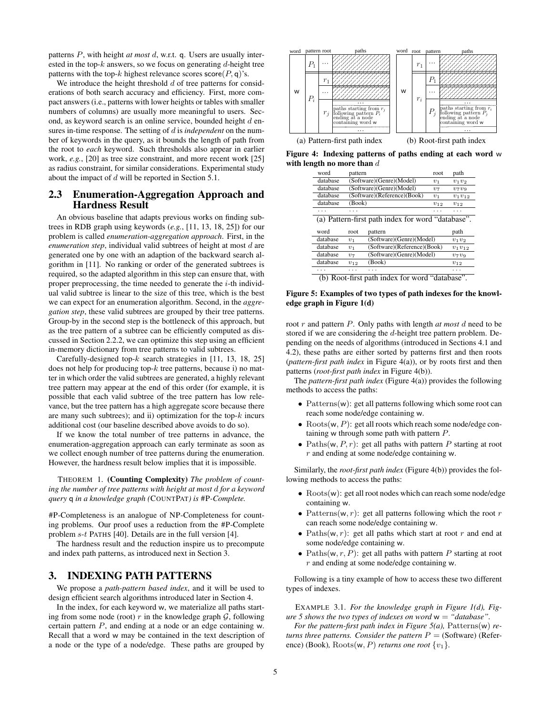patterns *P*, with height *at most d*, w.r.t. q. Users are usually interested in the top-*k* answers, so we focus on generating *d*-height tree patterns with the top- $k$  highest relevance scores score $(P, q)$ 's.

We introduce the height threshold *d* of tree patterns for considerations of both search accuracy and efficiency. First, more compact answers (i.e., patterns with lower heights or tables with smaller numbers of columns) are usually more meaningful to users. Second, as keyword search is an online service, bounded height *d* ensures in-time response. The setting of *d* is *independent* on the number of keywords in the query, as it bounds the length of path from the root to *each* keyword. Such thresholds also appear in earlier work, *e.g.*, [20] as tree size constraint, and more recent work [25] as radius constraint, for similar considerations. Experimental study about the impact of *d* will be reported in Section 5.1.

## 2.3 Enumeration-Aggregation Approach and Hardness Result

An obvious baseline that adapts previous works on finding subtrees in RDB graph using keywords (*e.g.*, [11, 13, 18, 25]) for our problem is called *enumeration-aggregation approach*. First, in the *enumeration step*, individual valid subtrees of height at most *d* are generated one by one with an adaption of the backward search algorithm in [11]. No ranking or order of the generated subtrees is required, so the adapted algorithm in this step can ensure that, with proper preprocessing, the time needed to generate the *i*-th individual valid subtree is linear to the size of this tree, which is the best we can expect for an enumeration algorithm. Second, in the *aggregation step*, these valid subtrees are grouped by their tree patterns. Group-by in the second step is the bottleneck of this approach, but as the tree pattern of a subtree can be efficiently computed as discussed in Section 2.2.2, we can optimize this step using an efficient in-memory dictionary from tree patterns to valid subtrees.

Carefully-designed top-*k* search strategies in [11, 13, 18, 25] does not help for producing top-*k* tree patterns, because i) no matter in which order the valid subtrees are generated, a highly relevant tree pattern may appear at the end of this order (for example, it is possible that each valid subtree of the tree pattern has low relevance, but the tree pattern has a high aggregate score because there are many such subtrees); and ii) optimization for the top-*k* incurs additional cost (our baseline described above avoids to do so).

If we know the total number of tree patterns in advance, the enumeration-aggregation approach can early terminate as soon as we collect enough number of tree patterns during the enumeration. However, the hardness result below implies that it is impossible.

THEOREM 1. (Counting Complexity) *The problem of counting the number of tree patterns with height at most d for a keyword query* q *in a knowledge graph (*COUNTPAT*) is* #P*-Complete.*

#P-Completeness is an analogue of NP-Completeness for counting problems. Our proof uses a reduction from the #P-Complete problem *s*-*t* PATHS [40]. Details are in the full version [4].

The hardness result and the reduction inspire us to precompute and index path patterns, as introduced next in Section 3.

## 3. INDEXING PATH PATTERNS

We propose a *path-pattern based index*, and it will be used to design efficient search algorithms introduced later in Section 4.

In the index, for each keyword w, we materialize all paths starting from some node (root)  $r$  in the knowledge graph  $G$ , following certain pattern *P*, and ending at a node or an edge containing w. Recall that a word w may be contained in the text description of a node or the type of a node/edge. These paths are grouped by



Figure 4: Indexing patterns of paths ending at each word w with length no more than *d*

| word        | pattern                                           | root               | path        |
|-------------|---------------------------------------------------|--------------------|-------------|
| database    | (Software)(Genre)(Model)                          | v <sub>1</sub>     | $v_1v_2$    |
| database    | (Software)(Genre)(Model)                          | v <sub>7</sub>     | $v_7v_9$    |
| database    | (Software)(Reference)(Book)                       | v <sub>1</sub>     | $v_1v_{12}$ |
| database    | (Book)                                            | $v_1$ <sub>2</sub> | $v_{12}$    |
| .           | $\ddot{\phantom{1}}$<br>٠                         | .                  | . .         |
|             | (a) Pattern-first path index for word "database". |                    |             |
| $rr \sim d$ | $n$ ottorn<br>$\cdots$                            |                    | noth        |

| word     | root           | pattern                                        | path        |
|----------|----------------|------------------------------------------------|-------------|
| database | v <sub>1</sub> | (Software)(Genre)(Model)                       | $v_1v_2$    |
| database | v <sub>1</sub> | (Software)(Reference)(Book)                    | $v_1v_{12}$ |
| database | $v_7$          | (Software)(Genre)(Model)                       | $v_7v_9$    |
| database | $v_{12}$       | (Book)                                         | $v_{12}$    |
| .        |                | .                                              | .           |
|          |                | (b) Root-first path index for word "database". |             |



root *r* and pattern *P*. Only paths with length *at most d* need to be stored if we are considering the *d*-height tree pattern problem. Depending on the needs of algorithms (introduced in Sections 4.1 and 4.2), these paths are either sorted by patterns first and then roots (*pattern-first path index* in Figure 4(a)), or by roots first and then patterns (*root-first path index* in Figure 4(b)).

The *pattern-first path index* (Figure 4(a)) provides the following methods to access the paths:

- Patterns(w): get all patterns following which some root can reach some node/edge containing w.
- *•* Roots(w*, P*): get all roots which reach some node/edge containing w through some path with pattern *P*.
- *•* Paths(w*, P, r*): get all paths with pattern *P* starting at root *r* and ending at some node/edge containing w.

Similarly, the *root-first path index* (Figure 4(b)) provides the following methods to access the paths:

- Roots(w): get all root nodes which can reach some node/edge containing w.
- *•* Patterns(w*, r*): get all patterns following which the root *r* can reach some node/edge containing w.
- *•* Paths(w*, r*): get all paths which start at root *r* and end at some node/edge containing w.
- *•* Paths(w*, r, P*): get all paths with pattern *P* starting at root *r* and ending at some node/edge containing w.

Following is a tiny example of how to access these two different types of indexes.

EXAMPLE 3.1. *For the knowledge graph in Figure 1(d), Figure 5 shows the two types of indexes on word*  $w =$  "*database*".

*For the pattern-first path index in Figure 5(a),* Patterns(w) *returns three patterns. Consider the pattern*  $P = (Software)$  (Reference) (Book),  $Roots(w, P)$  *returns one root*  $\{v_1\}$ *.*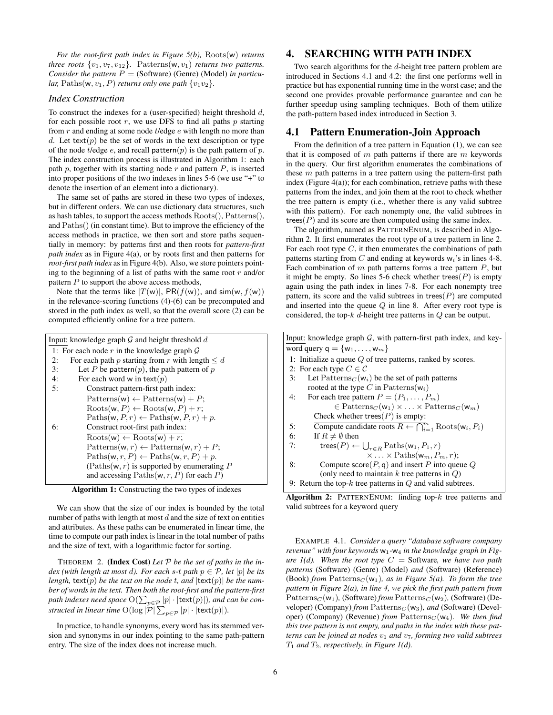*For the root-first path index in Figure 5(b),* Roots(w) *returns three roots*  $\{v_1, v_7, v_{12}\}$ *.* Patterns(w,  $v_1$ ) *returns two patterns. Consider the pattern*  $P = (Software) (Gene) (Model)$  *in particular,* Paths(w,  $v_1$ , P) *returns only one path*  $\{v_1v_2\}$ *.* 

#### *Index Construction*

To construct the indexes for a (user-specified) height threshold *d*, for each possible root *r*, we use DFS to find all paths *p* starting from *r* and ending at some node *t*/edge *e* with length no more than *d*. Let text( $p$ ) be the set of words in the text description or type of the node *t*/edge  $e$ , and recall pattern $(p)$  is the path pattern of  $p$ . The index construction process is illustrated in Algorithm 1: each path *p*, together with its starting node *r* and pattern *P*, is inserted into proper positions of the two indexes in lines 5-6 (we use "+" to denote the insertion of an element into a dictionary).

The same set of paths are stored in these two types of indexes, but in different orders. We can use dictionary data structures, such as hash tables, to support the access methods Roots(), Patterns(), and Paths() (in constant time). But to improve the efficiency of the access methods in practice, we then sort and store paths sequentially in memory: by patterns first and then roots for *pattern-first path index* as in Figure 4(a), or by roots first and then patterns for *root-first path index* as in Figure 4(b). Also, we store pointers pointing to the beginning of a list of paths with the same root *r* and/or pattern *P* to support the above access methods,

Note that the terms like  $|T(w)|$ ,  $PR(f(w))$ , and  $sim(w, f(w))$ in the relevance-scoring functions (4)-(6) can be precomputed and stored in the path index as well, so that the overall score (2) can be computed efficiently online for a tree pattern.

|    | Input: knowledge graph $G$ and height threshold d             |
|----|---------------------------------------------------------------|
|    | 1: For each node r in the knowledge graph $\mathcal G$        |
| 2: | For each path p starting from r with length $\leq d$          |
| 3: | Let P be pattern $(p)$ , the path pattern of p                |
| 4: | For each word w in text(p)                                    |
| 5: | Construct pattern-first path index:                           |
|    | $\text{Patterns}(w) \leftarrow \text{Patterns}(w) + P;$       |
|    | $Roots(w, P) \leftarrow Roots(w, P) + r;$                     |
|    | $Paths(w, P, r) \leftarrow Paths(w, P, r) + p.$               |
| 6: | Construct root-first path index:                              |
|    | $Roots(w) \leftarrow Roots(w) + r;$                           |
|    | $\text{Patterns}(w, r) \leftarrow \text{Patterns}(w, r) + P;$ |
|    | $Paths(w, r, P) \leftarrow Paths(w, r, P) + p.$               |
|    | $(Paths(w, r)$ is supported by enumerating P                  |
|    | and accessing $Paths(w, r, P)$ for each P)                    |
|    | $\cdots$<br>$\cdots$                                          |



We can show that the size of our index is bounded by the total number of paths with length at most *d* and the size of text on entities and attributes. As these paths can be enumerated in linear time, the time to compute our path index is linear in the total number of paths and the size of text, with a logarithmic factor for sorting.

THEOREM 2. (Index Cost) *Let P be the set of paths in the index (with length at most d). For each*  $s$ *<sup>-t</sup> path*  $p \in \mathcal{P}$ *, let*  $|p|$  *be its length,*  $\text{text}(p)$  *be the text on the node t, and*  $|\text{text}(p)|$  *be the number of words in the text. Then both the root-first and the pattern-first* path indexes need space  $O(\sum_{p \in \mathcal{P}} |p| \cdot |\text{text}(p)|)$ , and can be constructed in linear time  $O(\log |\mathcal{P}|) \sum_{p \in \mathcal{P}} |p| \cdot |\text{text}(p)|)$ .

In practice, to handle synonyms, every word has its stemmed version and synonyms in our index pointing to the same path-pattern entry. The size of the index does not increase much.

## 4. SEARCHING WITH PATH INDEX

Two search algorithms for the *d*-height tree pattern problem are introduced in Sections 4.1 and 4.2: the first one performs well in practice but has exponential running time in the worst case; and the second one provides provable performance guarantee and can be further speedup using sampling techniques. Both of them utilize the path-pattern based index introduced in Section 3.

#### 4.1 Pattern Enumeration-Join Approach

From the definition of a tree pattern in Equation (1), we can see that it is composed of *m* path patterns if there are *m* keywords in the query. Our first algorithm enumerates the combinations of these *m* path patterns in a tree pattern using the pattern-first path index (Figure 4(a)); for each combination, retrieve paths with these patterns from the index, and join them at the root to check whether the tree pattern is empty (i.e., whether there is any valid subtree with this pattern). For each nonempty one, the valid subtrees in trees( $P$ ) and its score are then computed using the same index.

The algorithm, named as PATTERNENUM, is described in Algorithm 2. It first enumerates the root type of a tree pattern in line 2. For each root type *C*, it then enumerates the combinations of path patterns starting from *C* and ending at keywords w*i*'s in lines 4-8. Each combination of *m* path patterns forms a tree pattern *P*, but it might be empty. So lines 5-6 check whether trees $(P)$  is empty again using the path index in lines 7-8. For each nonempty tree pattern, its score and the valid subtrees in trees $(P)$  are computed and inserted into the queue *Q* in line 8. After every root type is considered, the top-*k d*-height tree patterns in *Q* can be output.

Input: knowledge graph *G*, with pattern-first path index, and key- $\overline{\text{word}}$  query  $\mathsf{q} = \{\mathsf{w}_1, \dots, \mathsf{w}_m\}$ 1: Initialize a queue *Q* of tree patterns, ranked by scores. 2: For each type  $C \in \mathcal{C}$ 3: Let  $\text{Patterns}_C(w_i)$  be the set of path patterns rooted at the type *C* in Patterns(w*i*) 4: For each tree pattern  $P = (P_1, \ldots, P_m)$  $\in$  Patterns $_C(w_1) \times \ldots \times$  Patterns $_C(w_m)$ Check whether trees $(P)$  is empty: 5: Compute candidate roots  $R \leftarrow \bigcap_{i=1}^{m} \text{Roots}(w_i, P_i)$ 6: If  $R \neq \emptyset$  then<br>7: trees(*P*)  $\leftarrow$ 7: trees $(P) \leftarrow \bigcup_{r \in R} \text{Paths}(w_1, P_1, r)$  $\times \ldots \times$  Paths( $w_m, P_m, r$ ); 8: Compute score(*P,* q) and insert *P* into queue *Q* (only need to maintain *k* tree patterns in *Q*) 9: Return the top-*k* tree patterns in *Q* and valid subtrees. Algorithm 2: PATTERNENUM: finding top-*k* tree patterns and

valid subtrees for a keyword query

EXAMPLE 4.1. *Consider a query "database software company revenue" with four keywords*  $w_1$ - $w_4$  *in the knowledge graph in Figure 1(d).* When the root type  $C =$  Software, we have two path *patterns* (Software) (Genre) (Model) *and* (Software) (Reference) (Book) *from*  $Patterns_C(w_1)$ *, as in Figure 5(a). To form the tree pattern in Figure 2(a), in line 4, we pick the first path pattern from* Patterns<sub>*C*</sub> (w<sub>1</sub>), (Software) *from* Patterns<sub>*C*</sub> (w<sub>2</sub>), (Software) (Developer) (Company) *from* Patterns*<sup>C</sup>* (w3)*, and* (Software) (Developer) (Company) (Revenue) *from* Patterns*<sup>C</sup>* (w4)*. We then find this tree pattern is not empty, and paths in the index with these patterns can be joined at nodes v*<sup>1</sup> *and v*7*, forming two valid subtrees T*<sup>1</sup> *and T*2*, respectively, in Figure 1(d).*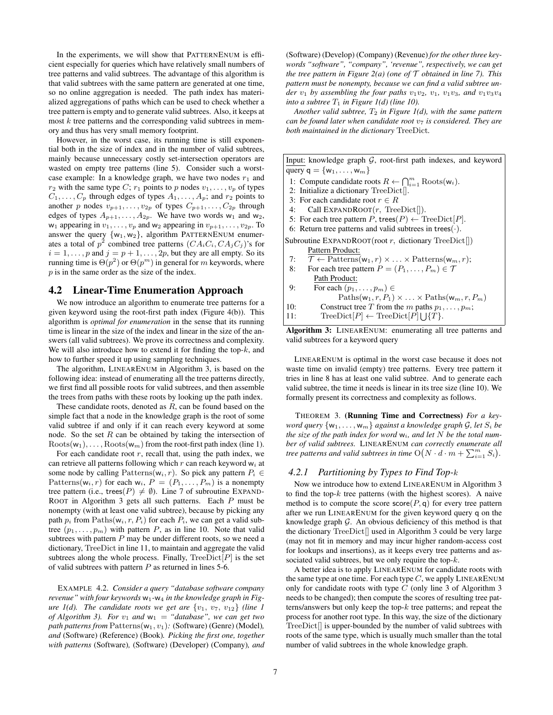In the experiments, we will show that PATTERNENUM is efficient especially for queries which have relatively small numbers of tree patterns and valid subtrees. The advantage of this algorithm is that valid subtrees with the same pattern are generated at one time, so no online aggregation is needed. The path index has materialized aggregations of paths which can be used to check whether a tree pattern is empty and to generate valid subtrees. Also, it keeps at most *k* tree patterns and the corresponding valid subtrees in memory and thus has very small memory footprint.

However, in the worst case, its running time is still exponential both in the size of index and in the number of valid subtrees, mainly because unnecessary costly set-intersection operators are wasted on empty tree patterns (line 5). Consider such a worstcase example: In a knowledge graph, we have two nodes  $r_1$  and *r*<sub>2</sub> with the same type *C*; *r*<sub>1</sub> points to *p* nodes  $v_1, \ldots, v_p$  of types  $C_1, \ldots, C_p$  through edges of types  $A_1, \ldots, A_p$ ; and  $r_2$  points to another *p* nodes  $v_{p+1}, \ldots, v_{2p}$  of types  $C_{p+1}, \ldots, C_{2p}$  through edges of types  $A_{p+1}, \ldots, A_{2p}$ . We have two words w<sub>1</sub> and w<sub>2</sub>,  $w_1$  appearing in  $v_1, \ldots, v_p$  and  $w_2$  appearing in  $v_{p+1}, \ldots, v_{2p}$ . To answer the query  $\{w_1, w_2\}$ , algorithm PATTERNENUM enumerates a total of  $p^2$  combined tree patterns  $(CA_iC_i, CA_jC_j)$ 's for  $i = 1, \ldots, p$  and  $j = p + 1, \ldots, 2p$ , but they are all empty. So its running time is  $\Theta(p^2)$  or  $\Theta(p^m)$  in general for *m* keywords, where *p* is in the same order as the size of the index.

#### 4.2 Linear-Time Enumeration Approach

We now introduce an algorithm to enumerate tree patterns for a given keyword using the root-first path index (Figure 4(b)). This algorithm is *optimal for enumeration* in the sense that its running time is linear in the size of the index and linear in the size of the answers (all valid subtrees). We prove its correctness and complexity. We will also introduce how to extend it for finding the top-*k*, and how to further speed it up using sampling techniques.

The algorithm, LINEARENUM in Algorithm 3, is based on the following idea: instead of enumerating all the tree patterns directly, we first find all possible roots for valid subtrees, and then assemble the trees from paths with these roots by looking up the path index.

These candidate roots, denoted as *R*, can be found based on the simple fact that a node in the knowledge graph is the root of some valid subtree if and only if it can reach every keyword at some node. So the set *R* can be obtained by taking the intersection of  $Roots(w_1), \ldots, Roots(w_m)$  from the root-first path index (line 1).

For each candidate root  $r$ , recall that, using the path index, we can retrieve all patterns following which *r* can reach keyword w*<sup>i</sup>* at some node by calling Patterns( $w_i$ , *r*). So pick any pattern  $P_i \in$ Patterns( $w_i$ , r) for each  $w_i$ ,  $P = (P_1, \ldots, P_m)$  is a nonempty tree pattern (i.e., trees( $P$ )  $\neq$   $\emptyset$ ). Line 7 of subroutine EXPAND-ROOT in Algorithm 3 gets all such patterns. Each *P* must be nonempty (with at least one valid subtree), because by picking any path  $p_i$  from Paths( $w_i$ ,  $r$ ,  $P_i$ ) for each  $P_i$ , we can get a valid subtree  $(p_1, \ldots, p_m)$  with pattern *P*, as in line 10. Note that valid subtrees with pattern *P* may be under different roots, so we need a dictionary, TreeDict in line 11, to maintain and aggregate the valid subtrees along the whole process. Finally,  $TreeDict[P]$  is the set of valid subtrees with pattern *P* as returned in lines 5-6.

EXAMPLE 4.2. *Consider a query "database software company revenue*" with four keywords  $w_1$ - $w_4$  *in the knowledge graph in Figure 1(d). The candidate roots we get are*  $\{v_1, v_7, v_{12}\}$  *(line 1) of Algorithm 3). For*  $v_1$  *and*  $w_1$  = "*database*", we can get two *path patterns from* Patterns(w1*, v*1)*:* (Software) (Genre) (Model)*, and* (Software) (Reference) (Book)*. Picking the first one, together with patterns* (Software)*,* (Software) (Developer) (Company)*, and* (Software) (Develop) (Company) (Revenue) *for the other three keywords "software", "company", 'revenue", respectively, we can get the tree pattern in Figure 2(a) (one of T obtained in line 7). This pattern must be nonempty, because we can find a valid subtree under*  $v_1$  *by assembling the four paths*  $v_1v_2$ ,  $v_1$ ,  $v_1v_3$ , and  $v_1v_3v_4$ *into a subtree*  $T_1$  *in Figure 1(d) (line 10).* 

*Another valid subtree,*  $T_2$  *in Figure 1(d), with the same pattern can be found later when candidate root*  $v_7$  *is considered. They are both maintained in the dictionary* TreeDict*.*

Input: knowledge graph *G*, root-first path indexes, and keyword query  $q = \{w_1, \ldots, w_m\}$ 

1: Compute candidate roots  $R \leftarrow \bigcap_{i=1}^{m} \text{Roots}(w_i)$ .

- 2: Initialize a dictionary TreeDict[].
- 3: For each candidate root  $r \in R$
- 4: Call EXPANDROOT(*r,* TreeDict[]).
- 5: For each tree pattern *P*, trees $(P) \leftarrow \text{TreeDict}[P]$ .
- 6: Return tree patterns and valid subtrees in trees(*·*).
- Subroutine EXPANDROOT(root *r,* dictionary TreeDict[]) Pattern Product: 7:  $\mathcal{T} \leftarrow$  Patterns( $w_1, r$ )  $\times \ldots \times$  Patterns( $w_m, r$ );
- 8: For each tree pattern  $P = (P_1, \ldots, P_m) \in \mathcal{T}$ Path Product: 9: For each  $(p_1, \ldots, p_m) \in$  $\text{Paths}(w_1, r, P_1) \times \ldots \times \text{Paths}(w_m, r, P_m)$
- 10: Construct tree *T* from the *m* paths  $p_1, \ldots, p_m$ ;

11: TreeDict $[P] \leftarrow \text{TreeDict}[P] \cup \{T\}.$ 

Algorithm 3: LINEARENUM: enumerating all tree patterns and valid subtrees for a keyword query

LINEARENUM is optimal in the worst case because it does not waste time on invalid (empty) tree patterns. Every tree pattern it tries in line 8 has at least one valid subtree. And to generate each valid subtree, the time it needs is linear in its tree size (line 10). We formally present its correctness and complexity as follows.

THEOREM 3. (Running Time and Correctness) *For a keyword query {*w1*, . . . ,* w*m} against a knowledge graph G, let S<sup>i</sup> be the size of the path index for word* w*i, and let N be the total number of valid subtrees.* LINEARENUM *can correctly enumerate all tree patterns and valid subtrees in time*  $O(N \cdot d \cdot m + \sum_{i=1}^{m} S_i)$ .

## *4.2.1 Partitioning by Types to Find Top-k*

Now we introduce how to extend LINEARENUM in Algorithm 3 to find the top- $k$  tree patterns (with the highest scores). A naive method is to compute the score  $S^{\text{core}}(P, q)$  for every tree pattern after we run LINEARENUM for the given keyword query q on the knowledge graph *G*. An obvious deficiency of this method is that the dictionary TreeDict[] used in Algorithm 3 could be very large (may not fit in memory and may incur higher random-access cost for lookups and insertions), as it keeps every tree patterns and associated valid subtrees, but we only require the top-*k*.

A better idea is to apply LINEARENUM for candidate roots with the same type at one time. For each type *C*, we apply LINEARENUM only for candidate roots with type *C* (only line 3 of Algorithm 3 needs to be changed); then compute the scores of resulting tree patterns/answers but only keep the top-*k* tree patterns; and repeat the process for another root type. In this way, the size of the dictionary TreeDict[] is upper-bounded by the number of valid subtrees with roots of the same type, which is usually much smaller than the total number of valid subtrees in the whole knowledge graph.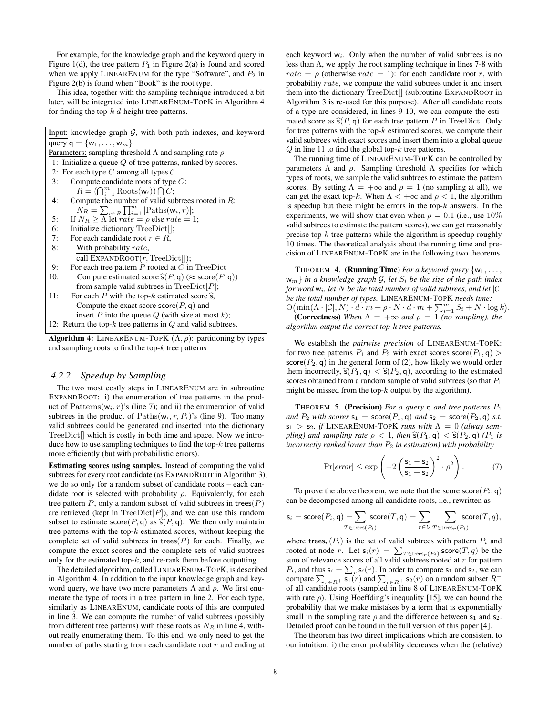For example, for the knowledge graph and the keyword query in Figure 1(d), the tree pattern  $P_1$  in Figure 2(a) is found and scored when we apply  $LINEARENUM$  for the type "Software", and  $P_2$  in Figure 2(b) is found when "Book" is the root type.

This idea, together with the sampling technique introduced a bit later, will be integrated into LINEARENUM-TOPK in Algorithm 4 for finding the top-*k d*-height tree patterns.

Input: knowledge graph *G*, with both path indexes, and keyword query  $q = \{w_1, ..., w_m\}$ 

Parameters: sampling threshold Λ and sampling rate *ρ* 1: Initialize a queue *Q* of tree patterns, ranked by scores. 2: For each type *C* among all types *C* 3: Compute candidate roots of type *C*:  $R = (\bigcap_{i=1}^{m} \text{Roots}(w_i)) \bigcap C;$ 4: Compute the number of valid subtrees rooted in *R*:  $N_R = \sum_{r \in R} \prod_{i=1}^m |\text{Paths}(w_i, r)|;$ 5: If  $N_R \ge \Lambda$  let  $rate = \rho$  else  $rate = 1$ ; 6: Initialize dictionary TreeDict[]; 7: For each candidate root  $r \in R$ , 8: With probability *rate*, call EXPANDROOT(*r,* TreeDict[]); 9: For each tree pattern *P* rooted at *C* in TreeDict 10: Compute estimated score  $\hat{\mathbf{s}}(P, \mathbf{a})$  ( $\approx$  score(*P*, Compute estimated score  $\hat{s}(P, q)$  ( $\approx$  score( $P, q$ )) from sample valid subtrees in TreeDict[*P*]; 11: For each *P* with the top- $k$  estimated score  $\hat{s}$ , Compute the exact score score(*P,* q) and insert *P* into the queue *Q* (with size at most *k*); 12: Return the top-*k* tree patterns in *Q* and valid subtrees.

**Algorithm 4:** LINEARENUM-TOPK  $(\Lambda, \rho)$ : partitioning by types

# and sampling roots to find the top-*k* tree patterns

#### *4.2.2 Speedup by Sampling*

The two most costly steps in LINEARENUM are in subroutine EXPANDROOT: i) the enumeration of tree patterns in the product of  $\text{Patterns}(w_i, r)$ 's (line 7); and ii) the enumeration of valid subtrees in the product of  $Paths(w_i, r, P_i)$ 's (line 9). Too many valid subtrees could be generated and inserted into the dictionary TreeDict[] which is costly in both time and space. Now we introduce how to use sampling techniques to find the top-*k* tree patterns more efficiently (but with probabilistic errors).

Estimating scores using samples. Instead of computing the valid subtrees for every root candidate (as EXPANDROOT in Algorithm 3), we do so only for a random subset of candidate roots – each candidate root is selected with probability *ρ*. Equivalently, for each tree pattern  $P$ , only a random subset of valid subtrees in trees( $P$ ) are retrieved (kept in  $TreeDict[P]$ ), and we can use this random subset to estimate  $score(P, q)$  as  $\hat{s}(P, q)$ . We then only maintain tree patterns with the top- $k$  estimated scores, without keeping the complete set of valid subtrees in trees( $P$ ) for each. Finally, we compute the exact scores and the complete sets of valid subtrees only for the estimated top-*k*, and re-rank them before outputting.

The detailed algorithm, called LINEARENUM-TOPK, is described in Algorithm 4. In addition to the input knowledge graph and keyword query, we have two more parameters  $\Lambda$  and  $\rho$ . We first enumerate the type of roots in a tree pattern in line 2. For each type, similarly as LINEARENUM, candidate roots of this are computed in line 3. We can compute the number of valid subtrees (possibly from different tree patterns) with these roots as  $N_R$  in line 4, without really enumerating them. To this end, we only need to get the number of paths starting from each candidate root *r* and ending at

each keyword w*i*. Only when the number of valid subtrees is no less than  $\Lambda$ , we apply the root sampling technique in lines 7-8 with *rate* =  $\rho$  (otherwise *rate* = 1): for each candidate root *r*, with probability *rate*, we compute the valid subtrees under it and insert them into the dictionary TreeDict[] (subroutine EXPANDROOT in Algorithm 3 is re-used for this purpose). After all candidate roots of a type are considered, in lines 9-10, we can compute the estimated score as  $\hat{s}(P, q)$  for each tree pattern *P* in TreeDict. Only for tree patterns with the top-*k* estimated scores, we compute their valid subtrees with exact scores and insert them into a global queue *Q* in line 11 to find the global top-*k* tree patterns.

The running time of LINEARENUM-TOPK can be controlled by parameters  $\Lambda$  and  $\rho$ . Sampling threshold  $\Lambda$  specifies for which types of roots, we sample the valid subtrees to estimate the pattern scores. By setting  $\Lambda = +\infty$  and  $\rho = 1$  (no sampling at all), we can get the exact top-*k*. When  $\Lambda < +\infty$  and  $\rho < 1$ , the algorithm is speedup but there might be errors in the top-*k* answers. In the experiments, we will show that even when  $\rho = 0.1$  (i.e., use 10%) valid subtrees to estimate the pattern scores), we can get reasonably precise top- $k$  tree patterns while the algorithm is speedup roughly 10 times. The theoretical analysis about the running time and precision of LINEARENUM-TOPK are in the following two theorems.

THEOREM 4. (Running Time) *For a keyword query {*w1*, . . . ,*  $w_m$ *}* in a knowledge graph G, let  $S_i$  be the size of the path index *for word*  $w_i$ *, let*  $N$  *be the total number of valid subtrees, and let*  $|C|$ *be the total number of types.* LINEARENUM-TOPK *needs time:*  $O(min(\Lambda \cdot |\mathcal{C}|, N) \cdot d \cdot m + \rho \cdot N \cdot d \cdot m + \sum_{i=1}^{m} S_i + N \cdot \log k$ .

(**Correctness**) When  $\Lambda = +\infty$  and  $\rho = 1$  (no sampling), the *algorithm output the correct top-k tree patterns.*

We establish the *pairwise precision* of LINEARENUM-TOPK: for two tree patterns  $P_1$  and  $P_2$  with exact scores score $(P_1, q)$ score( $P_2$ , q) in the general form of (2), how likely we would order them incorrectly,  $\hat{\mathsf{s}}(P_1, \mathsf{q}) < \hat{\mathsf{s}}(P_2, \mathsf{q})$ , according to the estimated scores obtained from a random sample of valid subtrees (so that *P*<sup>1</sup> might be missed from the top-*k* output by the algorithm).

THEOREM 5. (Precision) *For a query* q *and tree patterns P*<sup>1</sup> *and*  $P_2$  *with scores*  $\mathsf{s}_1 = \mathsf{score}(P_1, \mathsf{q})$  *and*  $\mathsf{s}_2 = \mathsf{score}(P_2, \mathsf{q})$  *s.t.*  $s_1 > s_2$ , if LINEARENUM-TOPK *runs with*  $\Lambda = 0$  (alway sam*pling)* and sampling rate  $\rho < 1$ , then  $\hat{\mathsf{s}}(P_1, \mathsf{q}) < \hat{\mathsf{s}}(P_2, \mathsf{q})$  ( $P_1$  is *incorrectly ranked lower than P*<sup>2</sup> *in estimation) with probability*

$$
\Pr[error] \le \exp\left(-2\left(\frac{s_1 - s_2}{s_1 + s_2}\right)^2 \cdot \rho^2\right). \tag{7}
$$

To prove the above theorem, we note that the score  $(P_i, \mathbf{q})$ can be decomposed among all candidate roots, i.e., rewritten as

s*<sup>i</sup>* = score(*Pi,* q) =∑ *T ∈*trees(*Pi*) score(*T,* q) = ∑ *r∈V* ∑ *T ∈*trees*r*(*Pi*) score(*T, q*)*,*

where trees<sub>*r*</sub>( $P_i$ ) is the set of valid subtrees with pattern  $P_i$  and rooted at node *r*. Let  $s_i(r) = \sum_{T \in \text{trees}_r(P_i)} \text{score}(T, q)$  be the sum of relevance scores of all valid subtrees rooted at  $r$  for pattern  $P_i$ , and thus  $\mathsf{s}_i = \sum_r \mathsf{s}_i(r)$ . In order to compare  $\mathsf{s}_1$  and  $\mathsf{s}_2$ , we can compare  $\sum_{r \in R^+} \mathsf{s}_1(r)$  and  $\sum_{r \in R^+} \mathsf{s}_2(r)$  on a random subset  $R^+$ of all candidate roots (sampled in line 8 of LINEARENUM-TOPK with rate *ρ*). Using Hoeffding's inequality [15], we can bound the probability that we make mistakes by a term that is exponentially small in the sampling rate  $\rho$  and the difference between  $s_1$  and  $s_2$ . Detailed proof can be found in the full version of this paper [4].

The theorem has two direct implications which are consistent to our intuition: i) the error probability decreases when the (relative)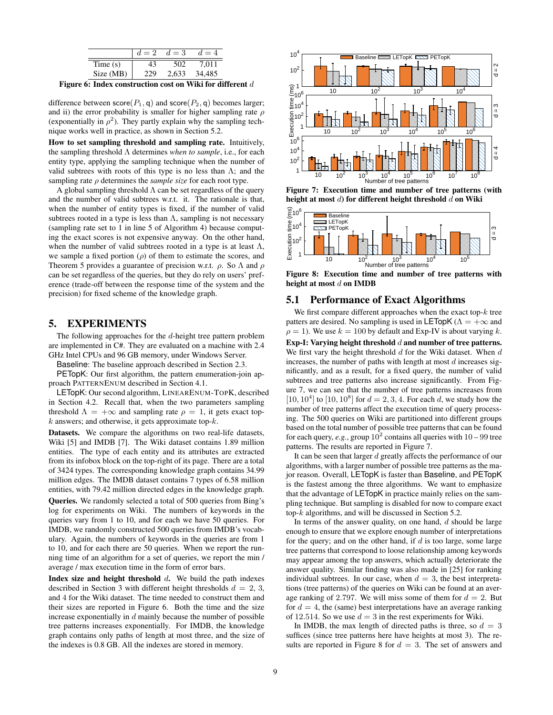|           | $d=2$ | $d=3$ | $d=4$  |
|-----------|-------|-------|--------|
| Time(s)   |       |       |        |
| Size (MB) |       | 2,633 | 34,485 |

Figure 6: Index construction cost on Wiki for different *d*

difference between  $score(P_1, q)$  and  $score(P_2, q)$  becomes larger; and ii) the error probability is smaller for higher sampling rate *ρ* (exponentially in  $\rho^2$ ). They partly explain why the sampling technique works well in practice, as shown in Section 5.2.

How to set sampling threshold and sampling rate. Intuitively, the sampling threshold Λ determines *when to sample*, i.e., for each entity type, applying the sampling technique when the number of valid subtrees with roots of this type is no less than  $\Lambda$ ; and the sampling rate *ρ* determines the *sample size* for each root type.

A global sampling threshold  $\Lambda$  can be set regardless of the query and the number of valid subtrees w.r.t. it. The rationale is that, when the number of entity types is fixed, if the number of valid subtrees rooted in a type is less than  $\Lambda$ , sampling is not necessary (sampling rate set to 1 in line 5 of Algorithm 4) because computing the exact scores is not expensive anyway. On the other hand, when the number of valid subtrees rooted in a type is at least  $\Lambda$ , we sample a fixed portion (*ρ*) of them to estimate the scores, and Theorem 5 provides a guarantee of precision w.r.t. *ρ*. So Λ and *ρ* can be set regardless of the queries, but they do rely on users' preference (trade-off between the response time of the system and the precision) for fixed scheme of the knowledge graph.

## 5. EXPERIMENTS

The following approaches for the *d*-height tree pattern problem are implemented in C#. They are evaluated on a machine with 2.4 GHz Intel CPUs and 96 GB memory, under Windows Server.

Baseline: The baseline approach described in Section 2.3.

PETopK: Our first algorithm, the pattern enumeration-join approach PATTERNENUM described in Section 4.1.

LETopK: Our second algorithm, LINEARENUM-TOPK, described in Section 4.2. Recall that, when the two parameters sampling threshold  $\Lambda = +\infty$  and sampling rate  $\rho = 1$ , it gets exact top*k* answers; and otherwise, it gets approximate top-*k*.

Datasets. We compare the algorithms on two real-life datasets, Wiki [5] and IMDB [7]. The Wiki dataset contains 1.89 million entities. The type of each entity and its attributes are extracted from its infobox block on the top-right of its page. There are a total of 3424 types. The corresponding knowledge graph contains 34.99 million edges. The IMDB dataset contains 7 types of 6.58 million entities, with 79.42 million directed edges in the knowledge graph.

Queries. We randomly selected a total of 500 queries from Bing's log for experiments on Wiki. The numbers of keywords in the queries vary from 1 to 10, and for each we have 50 queries. For IMDB, we randomly constructed 500 queries from IMDB's vocabulary. Again, the numbers of keywords in the queries are from 1 to 10, and for each there are 50 queries. When we report the running time of an algorithm for a set of queries, we report the min / average / max execution time in the form of error bars.

Index size and height threshold *d*. We build the path indexes described in Section 3 with different height thresholds  $d = 2, 3$ , and 4 for the Wiki dataset. The time needed to construct them and their sizes are reported in Figure 6. Both the time and the size increase exponentially in *d* mainly because the number of possible tree patterns increases exponentially. For IMDB, the knowledge graph contains only paths of length at most three, and the size of the indexes is 0.8 GB. All the indexes are stored in memory.



Figure 7: Execution time and number of tree patterns (with height at most *d*) for different height threshold *d* on Wiki



Figure 8: Execution time and number of tree patterns with height at most *d* on IMDB

#### 5.1 Performance of Exact Algorithms

We first compare different approaches when the exact top-*k* tree patters are desired. No sampling is used in LETopK ( $\Lambda = +\infty$  and  $\rho = 1$ ). We use  $k = 100$  by default and Exp-IV is about varying k.

Exp-I: Varying height threshold *d* and number of tree patterns. We first vary the height threshold *d* for the Wiki dataset. When *d* increases, the number of paths with length at most *d* increases significantly, and as a result, for a fixed query, the number of valid subtrees and tree patterns also increase significantly. From Figure 7, we can see that the number of tree patterns increases from  $[10, 10^4]$  to  $[10, 10^8]$  for  $d = 2, 3, 4$ . For each *d*, we study how the number of tree patterns affect the execution time of query processing. The 500 queries on Wiki are partitioned into different groups based on the total number of possible tree patterns that can be found for each query, *e.g.*, group  $10^2$  contains all queries with  $10 - 99$  tree patterns. The results are reported in Figure 7.

It can be seen that larger *d* greatly affects the performance of our algorithms, with a larger number of possible tree patterns as the major reason. Overall, LETopK is faster than Baseline, and PETopK is the fastest among the three algorithms. We want to emphasize that the advantage of LETopK in practice mainly relies on the sampling technique. But sampling is disabled for now to compare exact top-*k* algorithms, and will be discussed in Section 5.2.

In terms of the answer quality, on one hand, *d* should be large enough to ensure that we explore enough number of interpretations for the query; and on the other hand, if *d* is too large, some large tree patterns that correspond to loose relationship among keywords may appear among the top answers, which actually deteriorate the answer quality. Similar finding was also made in [25] for ranking individual subtrees. In our case, when  $d = 3$ , the best interpretations (tree patterns) of the queries on Wiki can be found at an average ranking of 2.797. We will miss some of them for  $d = 2$ . But for  $d = 4$ , the (same) best interpretations have an average ranking of 12.514. So we use  $d = 3$  in the rest experiments for Wiki.

In IMDB, the max length of directed paths is three, so  $d = 3$ suffices (since tree patterns here have heights at most 3). The results are reported in Figure 8 for *d* = 3. The set of answers and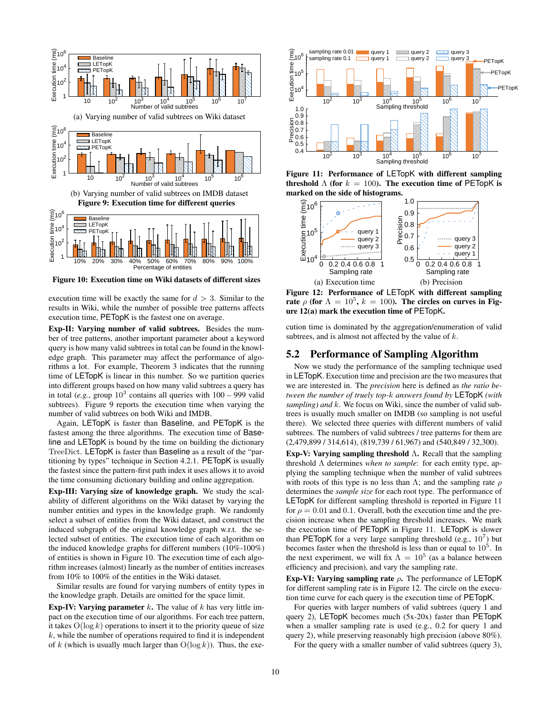

Figure 10: Execution time on Wiki datasets of different sizes

execution time will be exactly the same for *d >* 3. Similar to the results in Wiki, while the number of possible tree patterns affects execution time, PETopK is the fastest one on average.

Exp-II: Varying number of valid subtrees. Besides the number of tree patterns, another important parameter about a keyword query is how many valid subtrees in total can be found in the knowledge graph. This parameter may affect the performance of algorithms a lot. For example, Theorem 3 indicates that the running time of LETopK is linear in this number. So we partition queries into different groups based on how many valid subtrees a query has in total (*e.g.*, group  $10^3$  contains all queries with  $100 - 999$  valid subtrees). Figure 9 reports the execution time when varying the number of valid subtrees on both Wiki and IMDB.

Again, LETopK is faster than Baseline, and PETopK is the fastest among the three algorithms. The execution time of Baseline and LETopK is bound by the time on building the dictionary TreeDict. LETopK is faster than Baseline as a result of the "partitioning by types" technique in Section 4.2.1. PETopK is usually the fastest since the pattern-first path index it uses allows it to avoid the time consuming dictionary building and online aggregation.

Exp-III: Varying size of knowledge graph. We study the scalability of different algorithms on the Wiki dataset by varying the number entities and types in the knowledge graph. We randomly select a subset of entities from the Wiki dataset, and construct the induced subgraph of the original knowledge graph w.r.t. the selected subset of entities. The execution time of each algorithm on the induced knowledge graphs for different numbers (10%-100%) of entities is shown in Figure 10. The execution time of each algorithm increases (almost) linearly as the number of entities increases from 10% to 100% of the entities in the Wiki dataset.

Similar results are found for varying numbers of entity types in the knowledge graph. Details are omitted for the space limit.

Exp-IV: Varying parameter *k*. The value of *k* has very little impact on the execution time of our algorithms. For each tree pattern, it takes O(log *k*) operations to insert it to the priority queue of size *k*, while the number of operations required to find it is independent



Figure 11: Performance of LETopK with different sampling threshold  $\Lambda$  (for  $k = 100$ ). The execution time of PETopK is marked on the side of histograms.



Figure 12: Performance of LETopK with different sampling rate  $\rho$  (for  $\Lambda = 10^5$ ,  $k = 100$ ). The circles on curves in Figure 12(a) mark the execution time of PETopK.

cution time is dominated by the aggregation/enumeration of valid subtrees, and is almost not affected by the value of *k*.

#### 5.2 Performance of Sampling Algorithm

Now we study the performance of the sampling technique used in LETopK. Execution time and precision are the two measures that we are interested in. The *precision* here is defined as *the ratio between the number of truely top-k answers found by* LETopK *(with sampling) and k*. We focus on Wiki, since the number of valid subtrees is usually much smaller on IMDB (so sampling is not useful there). We selected three queries with different numbers of valid subtrees. The numbers of valid subtrees / tree patterns for them are (2,479,899 / 314,614), (819,739 / 61,967) and (540,849 / 32,300).

Exp-V: Varying sampling threshold  $\Lambda$ . Recall that the sampling threshold Λ determines *when to sample*: for each entity type, applying the sampling technique when the number of valid subtrees with roots of this type is no less than Λ; and the sampling rate *ρ* determines the *sample size* for each root type. The performance of LETopK for different sampling threshold is reported in Figure 11 for  $\rho = 0.01$  and 0.1. Overall, both the execution time and the precision increase when the sampling threshold increases. We mark the execution time of PETopK in Figure 11. LETopK is slower than PETopK for a very large sampling threshold (e.g.,  $10^7$ ) but becomes faster when the threshold is less than or equal to  $10<sup>5</sup>$ . In the next experiment, we will fix  $\Lambda = 10^5$  (as a balance between efficiency and precision), and vary the sampling rate.

Exp-VI: Varying sampling rate *ρ*. The performance of LETopK for different sampling rate is in Figure 12. The circle on the execution time curve for each query is the execution time of PETopK.

For queries with larger numbers of valid subtrees (query 1 and query 2), LETopK becomes much (5x-20x) faster than PETopK when a smaller sampling rate is used (e.g., 0.2 for query 1 and query 2), while preserving reasonably high precision (above 80%).

For the query with a smaller number of valid subtrees (query 3),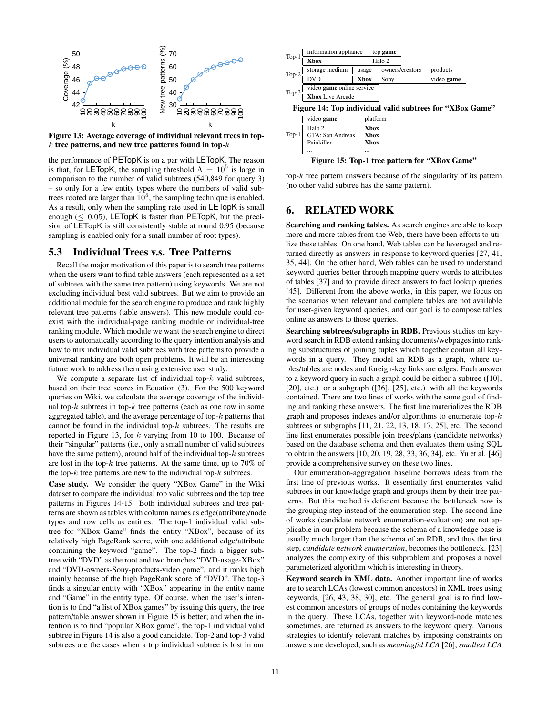

Figure 13: Average coverage of individual relevant trees in top*k* tree patterns, and new tree patterns found in top-*k*

the performance of PETopK is on a par with LETopK. The reason is that, for LETopK, the sampling threshold  $\Lambda = 10^5$  is large in comparison to the number of valid subtrees (540,849 for query 3) – so only for a few entity types where the numbers of valid subtrees rooted are larger than  $10<sup>5</sup>$ , the sampling technique is enabled. As a result, only when the sampling rate used in LETopK is small enough (*≤* 0*.*05), LETopK is faster than PETopK, but the precision of LETopK is still consistently stable at round 0.95 (because sampling is enabled only for a small number of root types).

## 5.3 Individual Trees v.s. Tree Patterns

Recall the major motivation of this paper is to search tree patterns when the users want to find table answers (each represented as a set of subtrees with the same tree pattern) using keywords. We are not excluding individual best valid subtrees. But we aim to provide an additional module for the search engine to produce and rank highly relevant tree patterns (table answers). This new module could coexist with the individual-page ranking module or individual-tree ranking module. Which module we want the search engine to direct users to automatically according to the query intention analysis and how to mix individual valid subtrees with tree patterns to provide a universal ranking are both open problems. It will be an interesting future work to address them using extensive user study.

We compute a separate list of individual top-*k* valid subtrees, based on their tree scores in Equation (3). For the 500 keyword queries on Wiki, we calculate the average coverage of the individual top-*k* subtrees in top-*k* tree patterns (each as one row in some aggregated table), and the average percentage of top-*k* patterns that cannot be found in the individual top-*k* subtrees. The results are reported in Figure 13, for *k* varying from 10 to 100. Because of their "singular" patterns (i.e., only a small number of valid subtrees have the same pattern), around half of the individual top-*k* subtrees are lost in the top-*k* tree patterns. At the same time, up to 70% of the top-*k* tree patterns are new to the individual top-*k* subtrees.

Case study. We consider the query "XBox Game" in the Wiki dataset to compare the individual top valid subtrees and the top tree patterns in Figures 14-15. Both individual subtrees and tree patterns are shown as tables with column names as edge(attribute)/node types and row cells as entities. The top-1 individual valid subtree for "XBox Game" finds the entity "XBox", because of its relatively high PageRank score, with one additional edge/attribute containing the keyword "game". The top-2 finds a bigger subtree with "DVD" as the root and two branches "DVD-usage-XBox" and "DVD-owners-Sony-products-video game", and it ranks high mainly because of the high PageRank score of "DVD". The top-3 finds a singular entity with "XBox" appearing in the entity name and "Game" in the entity type. Of course, when the user's intention is to find "a list of XBox games" by issuing this query, the tree pattern/table answer shown in Figure 15 is better; and when the intention is to find "popular XBox game", the top-1 individual valid subtree in Figure 14 is also a good candidate. Top-2 and top-3 valid subtrees are the cases when a top individual subtree is lost in our



Figure 15: Top-1 tree pattern for "XBox Game"

top-*k* tree pattern answers because of the singularity of its pattern (no other valid subtree has the same pattern).

## 6. RELATED WORK

Searching and ranking tables. As search engines are able to keep more and more tables from the Web, there have been efforts to utilize these tables. On one hand, Web tables can be leveraged and returned directly as answers in response to keyword queries [27, 41, 35, 44]. On the other hand, Web tables can be used to understand keyword queries better through mapping query words to attributes of tables [37] and to provide direct answers to fact lookup queries [45]. Different from the above works, in this paper, we focus on the scenarios when relevant and complete tables are not available for user-given keyword queries, and our goal is to compose tables online as answers to those queries.

Searching subtrees/subgraphs in RDB. Previous studies on keyword search in RDB extend ranking documents/webpages into ranking substructures of joining tuples which together contain all keywords in a query. They model an RDB as a graph, where tuples/tables are nodes and foreign-key links are edges. Each answer to a keyword query in such a graph could be either a subtree ([10], [20], etc.) or a subgraph ([36], [25], etc.) with all the keywords contained. There are two lines of works with the same goal of finding and ranking these answers. The first line materializes the RDB graph and proposes indexes and/or algorithms to enumerate top-*k* subtrees or subgraphs [11, 21, 22, 13, 18, 17, 25], etc. The second line first enumerates possible join trees/plans (candidate networks) based on the database schema and then evaluates them using SQL to obtain the answers [10, 20, 19, 28, 33, 36, 34], etc. Yu et al. [46] provide a comprehensive survey on these two lines.

Our enumeration-aggregation baseline borrows ideas from the first line of previous works. It essentially first enumerates valid subtrees in our knowledge graph and groups them by their tree patterns. But this method is deficient because the bottleneck now is the grouping step instead of the enumeration step. The second line of works (candidate network enumeration-evaluation) are not applicable in our problem because the schema of a knowledge base is usually much larger than the schema of an RDB, and thus the first step, *candidate network enumeration*, becomes the bottleneck. [23] analyzes the complexity of this subproblem and proposes a novel parameterized algorithm which is interesting in theory.

Keyword search in XML data. Another important line of works are to search LCAs (lowest common ancestors) in XML trees using keywords, [26, 43, 38, 30], etc. The general goal is to find lowest common ancestors of groups of nodes containing the keywords in the query. These LCAs, together with keyword-node matches sometimes, are returned as answers to the keyword query. Various strategies to identify relevant matches by imposing constraints on answers are developed, such as *meaningful LCA* [26], *smallest LCA*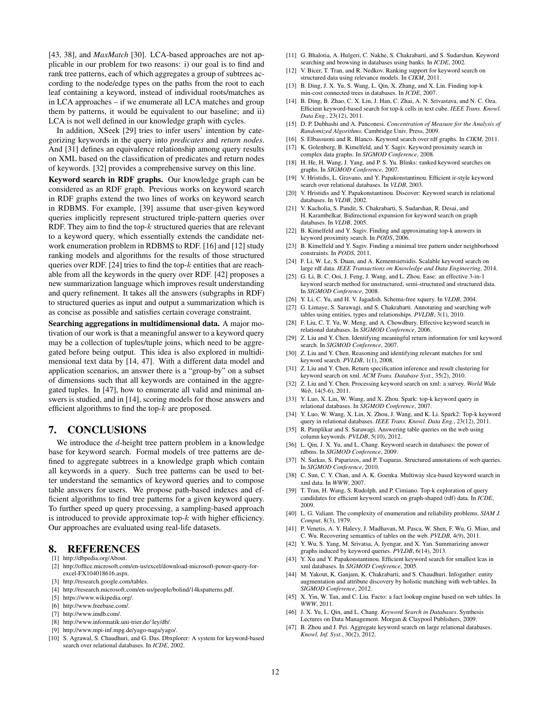[43, 38], and *MaxMatch* [30]. LCA-based approaches are not applicable in our problem for two reasons: i) our goal is to find and rank tree patterns, each of which aggregates a group of subtrees according to the node/edge types on the paths from the root to each leaf containing a keyword, instead of individual roots/matches as in LCA approaches – if we enumerate all LCA matches and group them by patterns, it would be equivalent to our baseline; and ii) LCA is not well defined in our knowledge graph with cycles.

In addition, XSeek [29] tries to infer users' intention by categorizing keywords in the query into *predicates* and *return nodes*. And [31] defines an equivalence relationship among query results on XML based on the classification of predicates and return nodes of keywords. [32] provides a comprehensive survey on this line.

Keyword search in RDF graphs. Our knowledge graph can be considered as an RDF graph. Previous works on keyword search in RDF graphs extend the two lines of works on keyword search in RDBMS. For example, [39] assume that user-given keyword queries implicitly represent structured triple-pattern queries over RDF. They aim to find the top-*k* structured queries that are relevant to a keyword query, which essentially extends the candidate network enumeration problem in RDBMS to RDF. [16] and [12] study ranking models and algorithms for the results of those structured queries over RDF. [24] tries to find the top-*k* entities that are reachable from all the keywords in the query over RDF. [42] proposes a new summarization language which improves result understanding and query refinement. It takes all the answers (subgraphs in RDF) to structured queries as input and output a summarization which is as concise as possible and satisfies certain coverage constraint.

Searching aggregations in multidimensional data. A major motivation of our work is that a meaningful answer to a keyword query may be a collection of tuples/tuple joins, which need to be aggregated before being output. This idea is also explored in multidimensional text data by [14, 47]. With a different data model and application scenarios, an answer there is a "group-by" on a subset of dimensions such that all keywords are contained in the aggregated tuples. In [47], how to enumerate all valid and minimal answers is studied, and in [14], scoring models for those answers and efficient algorithms to find the top-*k* are proposed.

## 7. CONCLUSIONS

We introduce the *d*-height tree pattern problem in a knowledge base for keyword search. Formal models of tree patterns are defined to aggregate subtrees in a knowledge graph which contain all keywords in a query. Such tree patterns can be used to better understand the semantics of keyword queries and to compose table answers for users. We propose path-based indexes and efficient algorithms to find tree patterns for a given keyword query. To further speed up query processing, a sampling-based approach is introduced to provide approximate top-*k* with higher efficiency. Our approaches are evaluated using real-life datasets.

## 8. REFERENCES

- [1] http://dbpedia.org/About.
- [2] http://office.microsoft.com/en-us/excel/download-microsoft-power-query-forexcel-FX104018616.aspx.
- [3] http://research.google.com/tables.
- [4] http://research.microsoft.com/en-us/people/bolind/14kspatterns.pdf.
- [5] https://www.wikipedia.org/.
- [6] http://www.freebase.com/.
- [7] http://www.imdb.com/.
- [8] http://www.informatik.uni-trier.de/ ley/db/.
- [9] http://www.mpi-inf.mpg.de/yago-naga/yago/.
- [10] S. Agrawal, S. Chaudhuri, and G. Das. Dbxplorer: A system for keyword-based search over relational databases. In *ICDE*, 2002.
- [11] G. Bhalotia, A. Hulgeri, C. Nakhe, S. Chakrabarti, and S. Sudarshan, Keyword searching and browsing in databases using banks. In *ICDE*, 2002.
- [12] V. Bicer, T. Tran, and R. Nedkov. Ranking support for keyword search on structured data using relevance models. In *CIKM*, 2011.
- [13] B. Ding, J. X. Yu, S. Wang, L. Qin, X. Zhang, and X. Lin. Finding top-k min-cost connected trees in databases. In *ICDE*, 2007.
- [14] B. Ding, B. Zhao, C. X. Lin, J. Han, C. Zhai, A. N. Srivastava, and N. C. Oza. Efficient keyword-based search for top-k cells in text cube. *IEEE Trans. Knowl. Data Eng.*, 23(12), 2011.
- [15] D. P. Dubhashi and A. Panconesi. *Concentration of Measure for the Analysis of Randomized Algorithms*. Cambridge Univ. Press, 2009.
- [16] S. Elbassuoni and R. Blanco. Keyword search over rdf graphs. In *CIKM*, 2011.
- [17] K. Golenberg, B. Kimelfeld, and Y. Sagiv. Keyword proximity search in complex data graphs. In *SIGMOD Conference*, 2008.
- [18] H. He, H. Wang, J. Yang, and P. S. Yu. Blinks: ranked keyword searches on graphs. In *SIGMOD Conference*, 2007.
- [19] V. Hristidis, L. Gravano, and Y. Papakonstantinou. Efficient ir-style keyword search over relational databases. In *VLDB*, 2003.
- [20] V. Hristidis and Y. Papakonstantinou. Discover: Keyword search in relational databases. In *VLDB*, 2002.
- [21] V. Kacholia, S. Pandit, S. Chakrabarti, S. Sudarshan, R. Desai, and H. Karambelkar. Bidirectional expansion for keyword search on graph databases. In *VLDB*, 2005.
- [22] B. Kimelfeld and Y. Sagiv. Finding and approximating top-k answers in keyword proximity search. In *PODS*, 2006.
- [23] B. Kimelfeld and Y. Sagiv. Finding a minimal tree pattern under neighborhood constraints. In *PODS*, 2011.
- [24] F. Li, W. Le, S. Duan, and A. Kementsietsidis. Scalable keyword search on large rdf data. *IEEE Transactions on Knowledge and Data Engineering*, 2014.
- [25] G. Li, B. C. Ooi, J. Feng, J. Wang, and L. Zhou. Ease: an effective 3-in-1 keyword search method for unstructured, semi-structured and structured data. In *SIGMOD Conference*, 2008.
- [26] Y. Li, C. Yu, and H. V. Jagadish. Schema-free xquery. In *VLDB*, 2004.
- [27] G. Limaye, S. Sarawagi, and S. Chakrabarti. Annotating and searching web tables using entities, types and relationships. *PVLDB*, 3(1), 2010.
- [28] F. Liu, C. T. Yu, W. Meng, and A. Chowdhury. Effective keyword search in relational databases. In *SIGMOD Conference*, 2006.
- [29] Z. Liu and Y. Chen. Identifying meaningful return information for xml keyword search. In *SIGMOD Conference*, 2007.
- [30] Z. Liu and Y. Chen. Reasoning and identifying relevant matches for xml keyword search. *PVLDB*, 1(1), 2008.
- [31] Z. Liu and Y. Chen. Return specification inference and result clustering for keyword search on xml. *ACM Trans. Database Syst.*, 35(2), 2010.
- [32] Z. Liu and Y. Chen. Processing keyword search on xml: a survey. *World Wide Web*, 14(5-6), 2011.
- [33] Y. Luo, X. Lin, W. Wang, and X. Zhou. Spark: top-k keyword query in relational databases. In *SIGMOD Conference*, 2007.
- [34] Y. Luo, W. Wang, X. Lin, X. Zhou, J. Wang, and K. Li. Spark2: Top-k keyword query in relational databases. *IEEE Trans. Knowl. Data Eng.*, 23(12), 2011.
- [35] R. Pimplikar and S. Sarawagi. Answering table queries on the web using column keywords. *PVLDB*, 5(10), 2012.
- [36] L. Qin, J. X. Yu, and L. Chang. Keyword search in databases: the power of rdbms. In *SIGMOD Conference*, 2009.
- [37] N. Sarkas, S. Paparizos, and P. Tsaparas. Structured annotations of web queries. In *SIGMOD Conference*, 2010.
- [38] C. Sun, C. Y. Chan, and A. K. Goenka. Multiway slca-based keyword search in xml data. In *WWW*, 2007.
- [39] T. Tran, H. Wang, S. Rudolph, and P. Cimiano. Top-k exploration of query candidates for efficient keyword search on graph-shaped (rdf) data. In *ICDE*, 2009.
- [40] L. G. Valiant. The complexity of enumeration and reliability problems. *SIAM J. Comput*, 8(3), 1979.
- [41] P. Venetis, A. Y. Halevy, J. Madhavan, M. Pasca, W. Shen, F. Wu, G. Miao, and C. Wu. Recovering semantics of tables on the web. *PVLDB*, 4(9), 2011.
- [42] Y. Wu, S. Yang, M. Srivatsa, A. Iyengar, and X. Yan. Summarizing answer graphs induced by keyword queries. *PVLDB*, 6(14), 2013.
- [43] Y. Xu and Y. Papakonstantinou. Efficient keyword search for smallest lcas in xml databases. In *SIGMOD Conference*, 2005.
- [44] M. Yakout, K. Ganjam, K. Chakrabarti, and S. Chaudhuri. Infogather: entity augmentation and attribute discovery by holistic matching with web tables. In *SIGMOD Conference*, 2012.
- [45] X. Yin, W. Tan, and C. Liu. Facto: a fact lookup engine based on web tables. In *WWW*, 2011.
- [46] J. X. Yu, L. Qin, and L. Chang. *Keyword Search in Databases*. Synthesis Lectures on Data Management. Morgan & Claypool Publishers, 2009.
- [47] B. Zhou and J. Pei. Aggregate keyword search on large relational databases. *Knowl. Inf. Syst.*, 30(2), 2012.